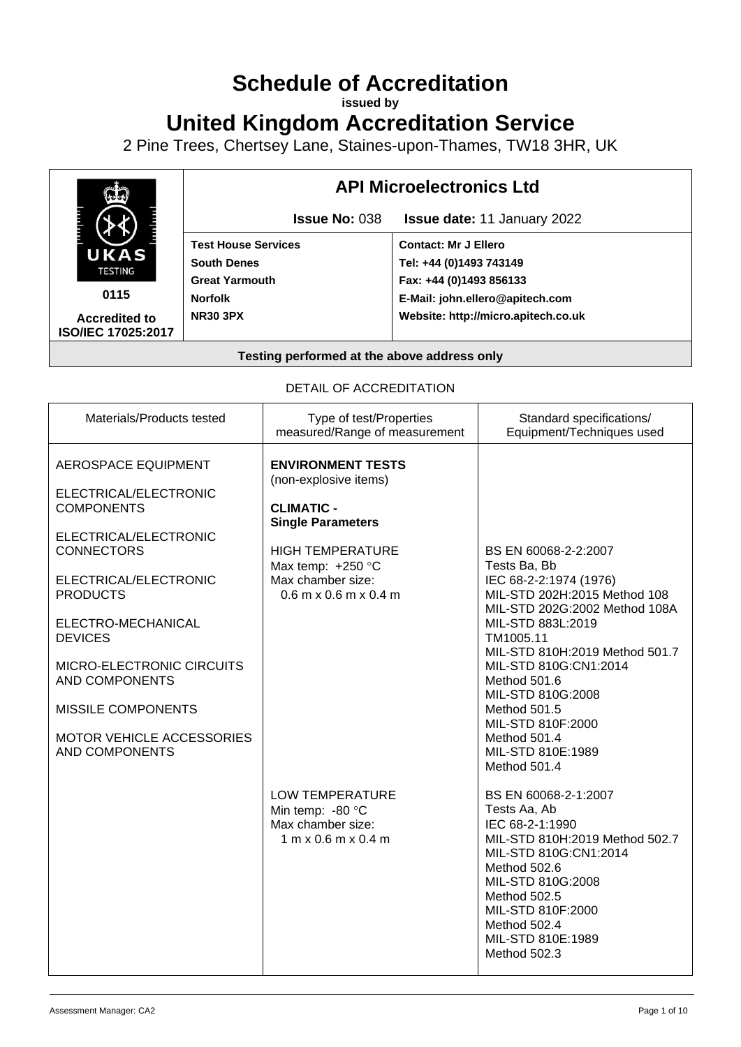# **Schedule of Accreditation**

**issued by**

**United Kingdom Accreditation Service**

2 Pine Trees, Chertsey Lane, Staines-upon-Thames, TW18 3HR, UK



#### DETAIL OF ACCREDITATION

| Materials/Products tested                                                                                                                                                                                                                                                                                                                           | Type of test/Properties<br>measured/Range of measurement                                                                                                                                                 | Standard specifications/<br>Equipment/Techniques used                                                                                                                                                                                                                                                                                                       |
|-----------------------------------------------------------------------------------------------------------------------------------------------------------------------------------------------------------------------------------------------------------------------------------------------------------------------------------------------------|----------------------------------------------------------------------------------------------------------------------------------------------------------------------------------------------------------|-------------------------------------------------------------------------------------------------------------------------------------------------------------------------------------------------------------------------------------------------------------------------------------------------------------------------------------------------------------|
| <b>AEROSPACE EQUIPMENT</b><br>ELECTRICAL/ELECTRONIC<br><b>COMPONENTS</b><br>ELECTRICAL/ELECTRONIC<br><b>CONNECTORS</b><br>ELECTRICAL/ELECTRONIC<br><b>PRODUCTS</b><br>ELECTRO-MECHANICAL<br><b>DEVICES</b><br>MICRO-ELECTRONIC CIRCUITS<br><b>AND COMPONENTS</b><br><b>MISSILE COMPONENTS</b><br>MOTOR VEHICLE ACCESSORIES<br><b>AND COMPONENTS</b> | <b>ENVIRONMENT TESTS</b><br>(non-explosive items)<br><b>CLIMATIC -</b><br><b>Single Parameters</b><br><b>HIGH TEMPERATURE</b><br>Max temp: $+250$ °C<br>Max chamber size:<br>$0.6$ m x $0.6$ m x $0.4$ m | BS EN 60068-2-2:2007<br>Tests Ba, Bb<br>IEC 68-2-2:1974 (1976)<br>MIL-STD 202H:2015 Method 108<br>MIL-STD 202G:2002 Method 108A<br>MIL-STD 883L:2019<br>TM1005.11<br>MIL-STD 810H:2019 Method 501.7<br>MIL-STD 810G:CN1:2014<br>Method 501.6<br>MIL-STD 810G:2008<br>Method 501.5<br>MIL-STD 810F:2000<br>Method 501.4<br>MIL-STD 810E:1989<br>Method 501.4 |
|                                                                                                                                                                                                                                                                                                                                                     | <b>LOW TEMPERATURE</b><br>Min temp: -80 °C<br>Max chamber size:<br>$1 \text{ m} \times 0.6 \text{ m} \times 0.4 \text{ m}$                                                                               | BS EN 60068-2-1:2007<br>Tests Aa, Ab<br>IEC 68-2-1:1990<br>MIL-STD 810H:2019 Method 502.7<br>MIL-STD 810G:CN1:2014<br>Method 502.6<br>MIL-STD 810G:2008<br>Method 502.5<br>MIL-STD 810F:2000<br>Method 502.4<br>MIL-STD 810E:1989<br>Method 502.3                                                                                                           |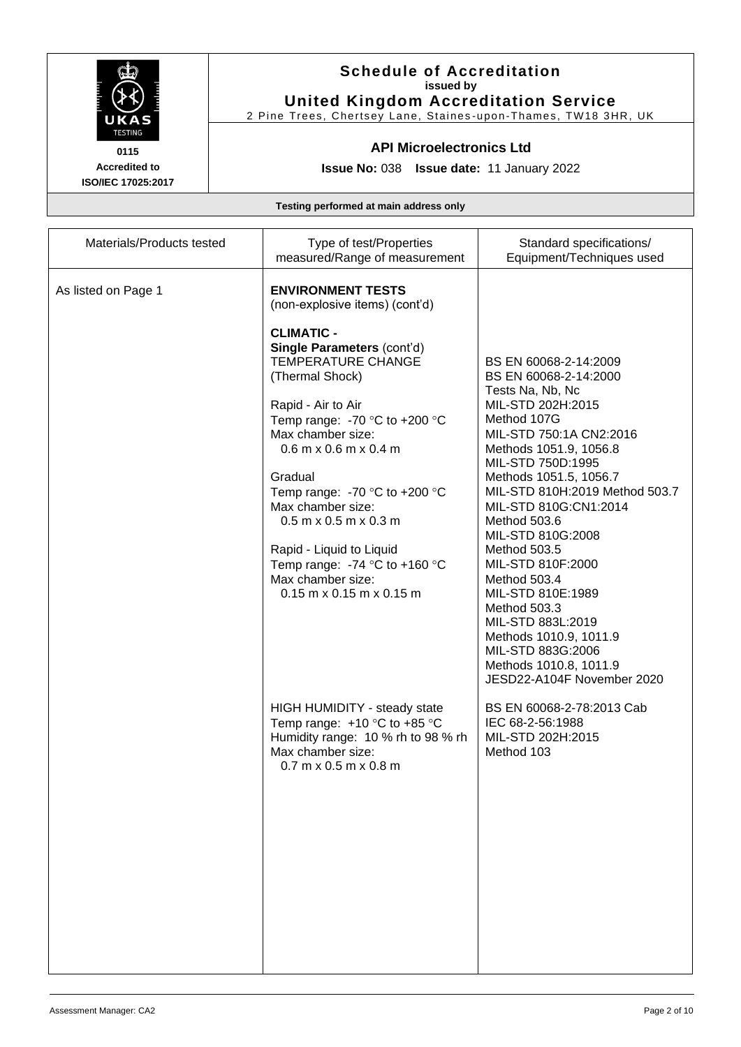

### **Schedule of Accreditation issued by United Kingdom Accreditation Service**

2 Pine Trees, Chertsey Lane, Staines -upon -Thames, TW18 3HR, UK

#### **API Microelectronics Ltd**

**Issue No:** 038 **Issue date:** 11 January 2022

| Materials/Products tested | Type of test/Properties<br>measured/Range of measurement                                                                                                                                                                                                                                                                                                                                                                                                                                                                                       | Standard specifications/<br>Equipment/Techniques used                                                                                                                                                                                                                                                                                                                                                                                                                                                                            |
|---------------------------|------------------------------------------------------------------------------------------------------------------------------------------------------------------------------------------------------------------------------------------------------------------------------------------------------------------------------------------------------------------------------------------------------------------------------------------------------------------------------------------------------------------------------------------------|----------------------------------------------------------------------------------------------------------------------------------------------------------------------------------------------------------------------------------------------------------------------------------------------------------------------------------------------------------------------------------------------------------------------------------------------------------------------------------------------------------------------------------|
| As listed on Page 1       | <b>ENVIRONMENT TESTS</b><br>(non-explosive items) (cont'd)<br><b>CLIMATIC -</b><br>Single Parameters (cont'd)<br><b>TEMPERATURE CHANGE</b><br>(Thermal Shock)<br>Rapid - Air to Air<br>Temp range: -70 $\degree$ C to +200 $\degree$ C<br>Max chamber size:<br>$0.6$ m x $0.6$ m x $0.4$ m<br>Gradual<br>Temp range: -70 $\degree$ C to +200 $\degree$ C<br>Max chamber size:<br>$0.5$ m x $0.5$ m x $0.3$ m<br>Rapid - Liquid to Liquid<br>Temp range: -74 $\degree$ C to +160 $\degree$ C<br>Max chamber size:<br>$0.15$ m x 0.15 m x 0.15 m | BS EN 60068-2-14:2009<br>BS EN 60068-2-14:2000<br>Tests Na, Nb, Nc<br>MIL-STD 202H:2015<br>Method 107G<br>MIL-STD 750:1A CN2:2016<br>Methods 1051.9, 1056.8<br>MIL-STD 750D:1995<br>Methods 1051.5, 1056.7<br>MIL-STD 810H:2019 Method 503.7<br>MIL-STD 810G:CN1:2014<br>Method 503.6<br>MIL-STD 810G:2008<br>Method 503.5<br>MIL-STD 810F:2000<br>Method 503.4<br>MIL-STD 810E:1989<br>Method 503.3<br>MIL-STD 883L:2019<br>Methods 1010.9, 1011.9<br>MIL-STD 883G:2006<br>Methods 1010.8, 1011.9<br>JESD22-A104F November 2020 |
|                           | HIGH HUMIDITY - steady state<br>Temp range: $+10$ °C to $+85$ °C<br>Humidity range: 10 % rh to 98 % rh<br>Max chamber size:<br>$0.7$ m x $0.5$ m x $0.8$ m                                                                                                                                                                                                                                                                                                                                                                                     | BS EN 60068-2-78:2013 Cab<br>IEC 68-2-56:1988<br>MIL-STD 202H:2015<br>Method 103                                                                                                                                                                                                                                                                                                                                                                                                                                                 |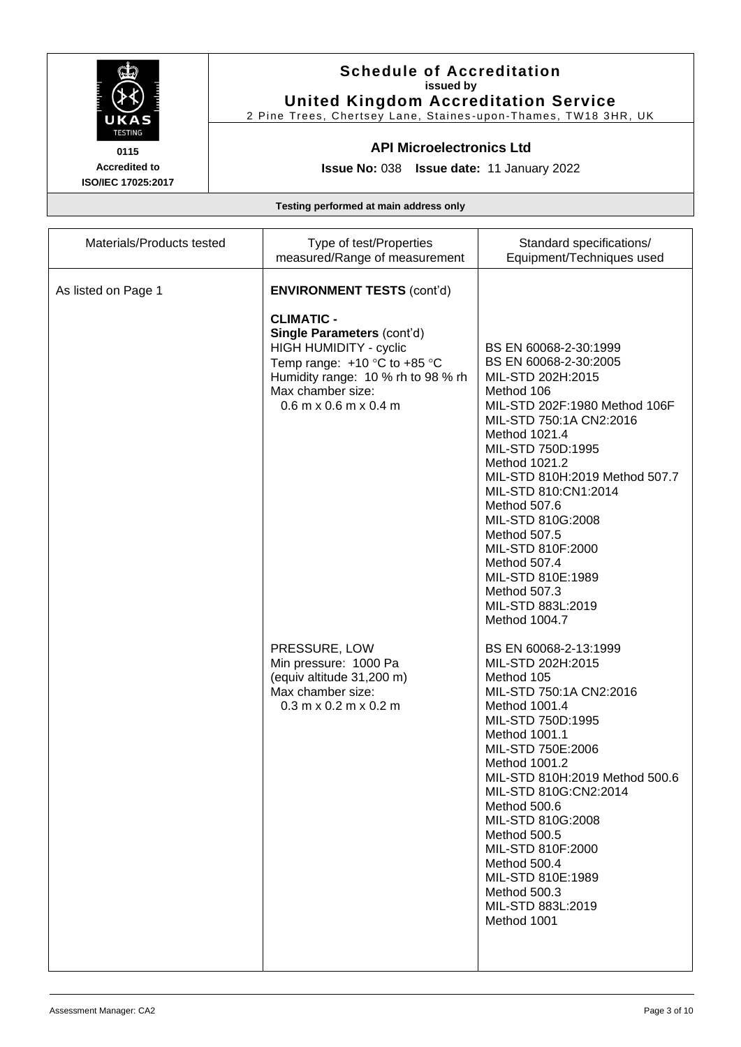

### **Schedule of Accreditation issued by United Kingdom Accreditation Service**

2 Pine Trees, Chertsey Lane, Staines -upon -Thames, TW18 3HR, UK

#### **API Microelectronics Ltd**

**Issue No:** 038 **Issue date:** 11 January 2022

| Materials/Products tested | Type of test/Properties<br>measured/Range of measurement                                                                                                                                                       | Standard specifications/<br>Equipment/Techniques used                                                                                                                                                                                                                                                                                                                                                                               |
|---------------------------|----------------------------------------------------------------------------------------------------------------------------------------------------------------------------------------------------------------|-------------------------------------------------------------------------------------------------------------------------------------------------------------------------------------------------------------------------------------------------------------------------------------------------------------------------------------------------------------------------------------------------------------------------------------|
| As listed on Page 1       | <b>ENVIRONMENT TESTS (cont'd)</b>                                                                                                                                                                              |                                                                                                                                                                                                                                                                                                                                                                                                                                     |
|                           | <b>CLIMATIC -</b><br>Single Parameters (cont'd)<br><b>HIGH HUMIDITY - cyclic</b><br>Temp range: $+10$ °C to $+85$ °C<br>Humidity range: 10 % rh to 98 % rh<br>Max chamber size:<br>$0.6$ m x $0.6$ m x $0.4$ m | BS EN 60068-2-30:1999<br>BS EN 60068-2-30:2005<br>MIL-STD 202H:2015<br>Method 106<br>MIL-STD 202F:1980 Method 106F<br>MIL-STD 750:1A CN2:2016<br>Method 1021.4<br>MIL-STD 750D:1995<br>Method 1021.2<br>MIL-STD 810H:2019 Method 507.7<br>MIL-STD 810:CN1:2014<br>Method 507.6<br>MIL-STD 810G:2008<br>Method 507.5<br>MIL-STD 810F:2000<br>Method 507.4<br>MIL-STD 810E:1989<br>Method 507.3<br>MIL-STD 883L:2019<br>Method 1004.7 |
|                           | PRESSURE, LOW<br>Min pressure: 1000 Pa<br>(equiv altitude 31,200 m)<br>Max chamber size:<br>$0.3$ m x $0.2$ m x $0.2$ m                                                                                        | BS EN 60068-2-13:1999<br>MIL-STD 202H:2015<br>Method 105<br>MIL-STD 750:1A CN2:2016<br>Method 1001.4<br>MIL-STD 750D:1995<br>Method 1001.1<br>MIL-STD 750E:2006<br>Method 1001.2<br>MIL-STD 810H:2019 Method 500.6<br>MIL-STD 810G:CN2:2014<br>Method 500.6<br>MIL-STD 810G:2008<br>Method 500.5<br>MIL-STD 810F:2000<br>Method 500.4<br>MIL-STD 810E:1989<br>Method 500.3<br>MIL-STD 883L:2019<br>Method 1001                      |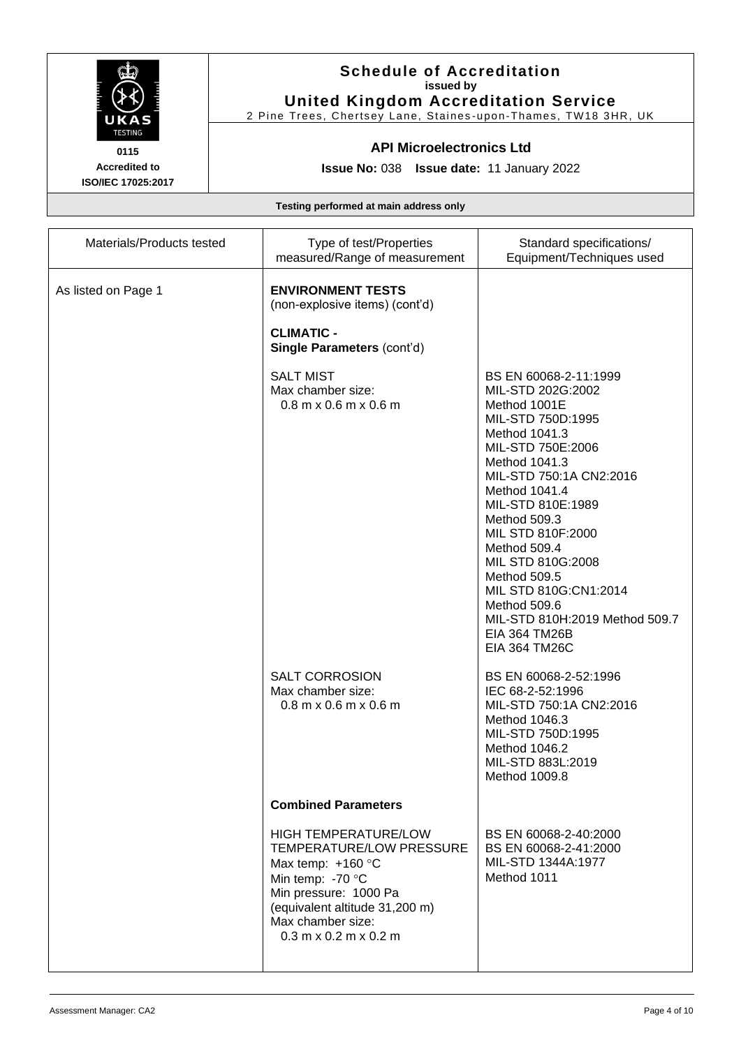

# **Schedule of Accreditation issued by United Kingdom Accreditation Service**

2 Pine Trees, Chertsey Lane, Staines -upon -Thames, TW18 3HR, UK

#### **API Microelectronics Ltd**

**Issue No:** 038 **Issue date:** 11 January 2022

| Materials/Products tested | Type of test/Properties<br>measured/Range of measurement                                                                                                                                                                 | Standard specifications/<br>Equipment/Techniques used                                                                                                                                                                                                                                                                                                                                                                        |
|---------------------------|--------------------------------------------------------------------------------------------------------------------------------------------------------------------------------------------------------------------------|------------------------------------------------------------------------------------------------------------------------------------------------------------------------------------------------------------------------------------------------------------------------------------------------------------------------------------------------------------------------------------------------------------------------------|
| As listed on Page 1       | <b>ENVIRONMENT TESTS</b><br>(non-explosive items) (cont'd)<br><b>CLIMATIC -</b><br>Single Parameters (cont'd)                                                                                                            |                                                                                                                                                                                                                                                                                                                                                                                                                              |
|                           | <b>SALT MIST</b><br>Max chamber size:<br>$0.8$ m x $0.6$ m x $0.6$ m                                                                                                                                                     | BS EN 60068-2-11:1999<br>MIL-STD 202G:2002<br>Method 1001E<br>MIL-STD 750D:1995<br>Method 1041.3<br>MIL-STD 750E:2006<br>Method 1041.3<br>MIL-STD 750:1A CN2:2016<br>Method 1041.4<br>MIL-STD 810E:1989<br>Method 509.3<br>MIL STD 810F:2000<br>Method 509.4<br>MIL STD 810G:2008<br>Method 509.5<br>MIL STD 810G:CN1:2014<br>Method 509.6<br>MIL-STD 810H:2019 Method 509.7<br><b>EIA 364 TM26B</b><br><b>EIA 364 TM26C</b> |
|                           | <b>SALT CORROSION</b><br>Max chamber size:<br>$0.8$ m x $0.6$ m x $0.6$ m                                                                                                                                                | BS EN 60068-2-52:1996<br>IEC 68-2-52:1996<br>MIL-STD 750:1A CN2:2016<br>Method 1046.3<br>MIL-STD 750D:1995<br>Method 1046.2<br>MIL-STD 883L:2019<br>Method 1009.8                                                                                                                                                                                                                                                            |
|                           | <b>Combined Parameters</b>                                                                                                                                                                                               |                                                                                                                                                                                                                                                                                                                                                                                                                              |
|                           | <b>HIGH TEMPERATURE/LOW</b><br><b>TEMPERATURE/LOW PRESSURE</b><br>Max temp: $+160$ °C<br>Min temp: -70 °C<br>Min pressure: 1000 Pa<br>(equivalent altitude 31,200 m)<br>Max chamber size:<br>$0.3$ m x $0.2$ m x $0.2$ m | BS EN 60068-2-40:2000<br>BS EN 60068-2-41:2000<br>MIL-STD 1344A:1977<br>Method 1011                                                                                                                                                                                                                                                                                                                                          |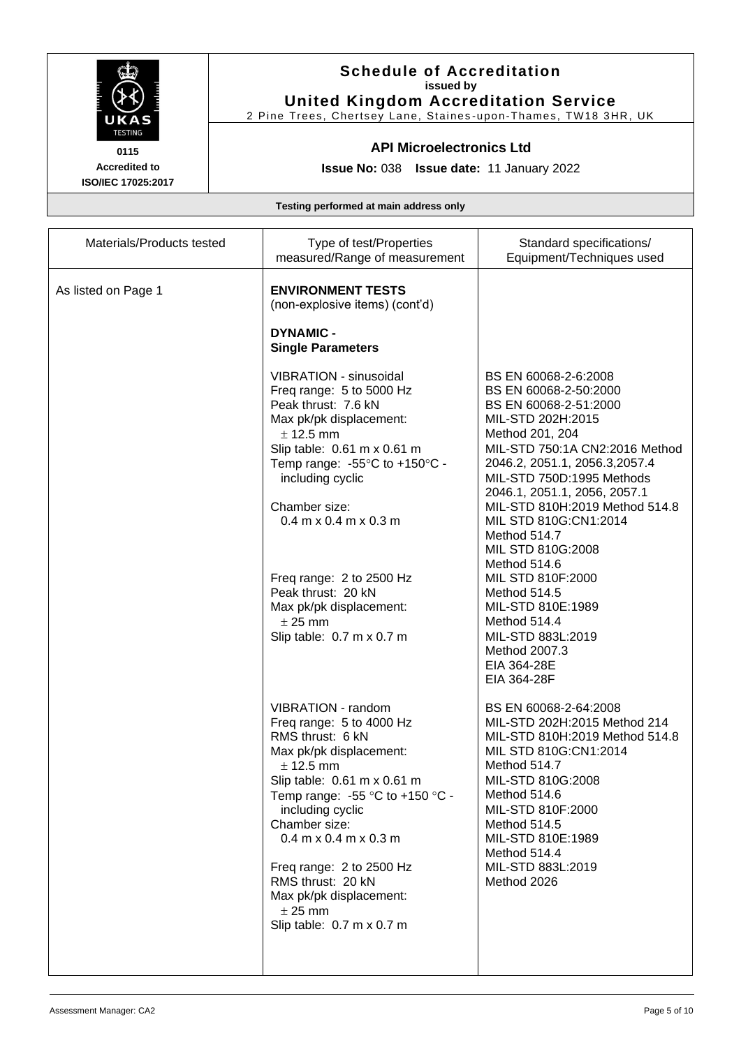

### **Schedule of Accreditation issued by United Kingdom Accreditation Service**

2 Pine Trees, Chertsey Lane, Staines -upon -Thames, TW18 3HR, UK

### **API Microelectronics Ltd**

**Issue No:** 038 **Issue date:** 11 January 2022

| Materials/Products tested | Type of test/Properties<br>measured/Range of measurement                                                                                                                                                                                                                                                                                                                                                          | Standard specifications/<br>Equipment/Techniques used                                                                                                                                                                                                                                                                                                                                                                                                                                          |
|---------------------------|-------------------------------------------------------------------------------------------------------------------------------------------------------------------------------------------------------------------------------------------------------------------------------------------------------------------------------------------------------------------------------------------------------------------|------------------------------------------------------------------------------------------------------------------------------------------------------------------------------------------------------------------------------------------------------------------------------------------------------------------------------------------------------------------------------------------------------------------------------------------------------------------------------------------------|
| As listed on Page 1       | <b>ENVIRONMENT TESTS</b><br>(non-explosive items) (cont'd)<br><b>DYNAMIC -</b><br><b>Single Parameters</b>                                                                                                                                                                                                                                                                                                        |                                                                                                                                                                                                                                                                                                                                                                                                                                                                                                |
|                           | VIBRATION - sinusoidal<br>Freq range: 5 to 5000 Hz<br>Peak thrust: 7.6 kN<br>Max pk/pk displacement:<br>$±$ 12.5 mm<br>Slip table: 0.61 m x 0.61 m<br>Temp range: $-55^{\circ}$ C to $+150^{\circ}$ C -<br>including cyclic<br>Chamber size:<br>$0.4$ m x $0.4$ m x $0.3$ m<br>Freq range: 2 to 2500 Hz<br>Peak thrust: 20 kN<br>Max pk/pk displacement:<br>$± 25$ mm<br>Slip table: 0.7 m x 0.7 m                | BS EN 60068-2-6:2008<br>BS EN 60068-2-50:2000<br>BS EN 60068-2-51:2000<br>MIL-STD 202H:2015<br>Method 201, 204<br>MIL-STD 750:1A CN2:2016 Method<br>2046.2, 2051.1, 2056.3, 2057.4<br>MIL-STD 750D:1995 Methods<br>2046.1, 2051.1, 2056, 2057.1<br>MIL-STD 810H:2019 Method 514.8<br>MIL STD 810G:CN1:2014<br>Method 514.7<br>MIL STD 810G:2008<br>Method 514.6<br>MIL STD 810F:2000<br>Method 514.5<br>MIL-STD 810E:1989<br>Method 514.4<br>MIL-STD 883L:2019<br>Method 2007.3<br>EIA 364-28E |
|                           | VIBRATION - random<br>Freq range: 5 to 4000 Hz<br>RMS thrust: 6 kN<br>Max pk/pk displacement:<br>$±$ 12.5 mm<br>Slip table: $0.61 \text{ m} \times 0.61 \text{ m}$<br>Temp range: -55 $\degree$ C to +150 $\degree$ C -<br>including cyclic<br>Chamber size:<br>$0.4$ m x $0.4$ m x $0.3$ m<br>Freq range: 2 to 2500 Hz<br>RMS thrust: 20 kN<br>Max pk/pk displacement:<br>$±$ 25 mm<br>Slip table: 0.7 m x 0.7 m | EIA 364-28F<br>BS EN 60068-2-64:2008<br>MIL-STD 202H:2015 Method 214<br>MIL-STD 810H:2019 Method 514.8<br>MIL STD 810G:CN1:2014<br>Method 514.7<br>MIL-STD 810G:2008<br>Method 514.6<br>MIL-STD 810F:2000<br>Method 514.5<br>MIL-STD 810E:1989<br>Method 514.4<br>MIL-STD 883L:2019<br>Method 2026                                                                                                                                                                                             |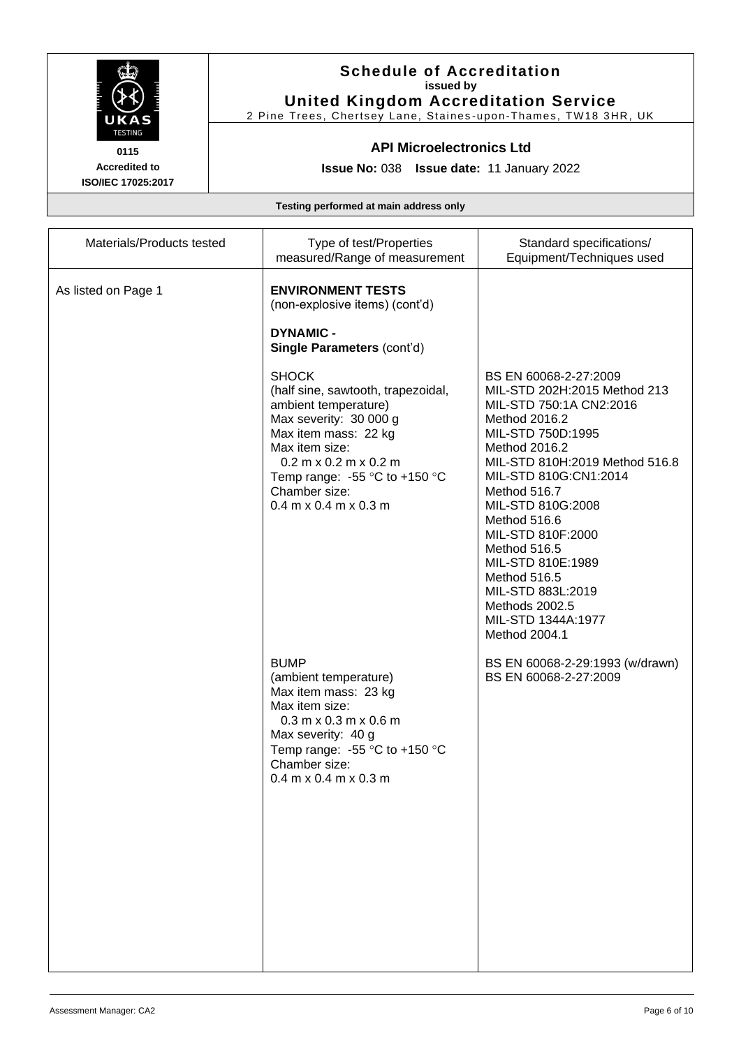

#### **Schedule of Accreditation issued by United Kingdom Accreditation Service**

2 Pine Trees, Chertsey Lane, Staines -upon -Thames, TW18 3HR, UK

### **API Microelectronics Ltd**

**Issue No:** 038 **Issue date:** 11 January 2022

| Materials/Products tested | Type of test/Properties<br>measured/Range of measurement                                                                                                                                                                                                                         | Standard specifications/<br>Equipment/Techniques used                                                                                                                                                                                                                                                                                                                                                           |
|---------------------------|----------------------------------------------------------------------------------------------------------------------------------------------------------------------------------------------------------------------------------------------------------------------------------|-----------------------------------------------------------------------------------------------------------------------------------------------------------------------------------------------------------------------------------------------------------------------------------------------------------------------------------------------------------------------------------------------------------------|
| As listed on Page 1       | <b>ENVIRONMENT TESTS</b><br>(non-explosive items) (cont'd)<br><b>DYNAMIC -</b><br>Single Parameters (cont'd)                                                                                                                                                                     |                                                                                                                                                                                                                                                                                                                                                                                                                 |
|                           | <b>SHOCK</b><br>(half sine, sawtooth, trapezoidal,<br>ambient temperature)<br>Max severity: 30 000 g<br>Max item mass: 22 kg<br>Max item size:<br>$0.2$ m x $0.2$ m x $0.2$ m<br>Temp range: -55 $\degree$ C to +150 $\degree$ C<br>Chamber size:<br>$0.4$ m x $0.4$ m x $0.3$ m | BS EN 60068-2-27:2009<br>MIL-STD 202H:2015 Method 213<br>MIL-STD 750:1A CN2:2016<br>Method 2016.2<br>MIL-STD 750D:1995<br>Method 2016.2<br>MIL-STD 810H:2019 Method 516.8<br>MIL-STD 810G:CN1:2014<br>Method 516.7<br>MIL-STD 810G:2008<br>Method 516.6<br>MIL-STD 810F:2000<br>Method 516.5<br>MIL-STD 810E:1989<br>Method 516.5<br>MIL-STD 883L:2019<br>Methods 2002.5<br>MIL-STD 1344A:1977<br>Method 2004.1 |
|                           | <b>BUMP</b><br>(ambient temperature)<br>Max item mass: 23 kg<br>Max item size:<br>$0.3$ m x $0.3$ m x $0.6$ m<br>Max severity: 40 g<br>Temp range: -55 $^{\circ}$ C to +150 $^{\circ}$ C<br>Chamber size:<br>$0.4$ m x $0.4$ m x $0.3$ m                                         | BS EN 60068-2-29:1993 (w/drawn)<br>BS EN 60068-2-27:2009                                                                                                                                                                                                                                                                                                                                                        |
|                           |                                                                                                                                                                                                                                                                                  |                                                                                                                                                                                                                                                                                                                                                                                                                 |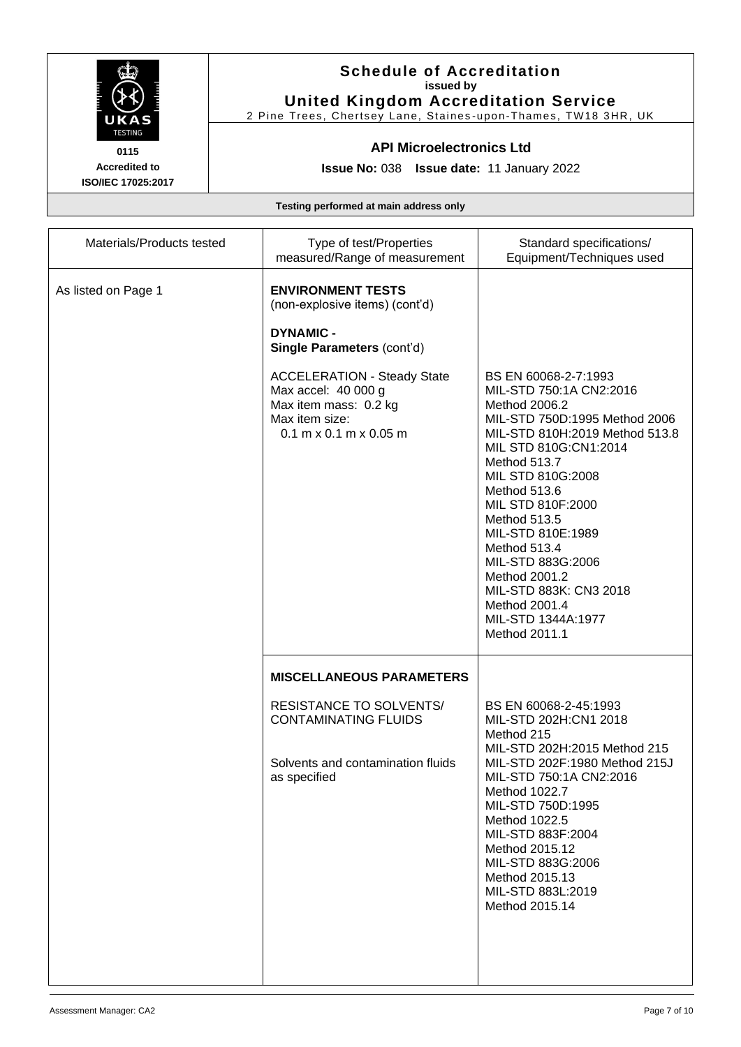

### **Schedule of Accreditation issued by United Kingdom Accreditation Service**

2 Pine Trees, Chertsey Lane, Staines -upon -Thames, TW18 3HR, UK

### **API Microelectronics Ltd**

**Issue No:** 038 **Issue date:** 11 January 2022

| Materials/Products tested | Type of test/Properties<br>measured/Range of measurement                                                                                                                                                                                         | Standard specifications/<br>Equipment/Techniques used                                                                                                                                                                                                                                                                                                                                                               |
|---------------------------|--------------------------------------------------------------------------------------------------------------------------------------------------------------------------------------------------------------------------------------------------|---------------------------------------------------------------------------------------------------------------------------------------------------------------------------------------------------------------------------------------------------------------------------------------------------------------------------------------------------------------------------------------------------------------------|
| As listed on Page 1       | <b>ENVIRONMENT TESTS</b><br>(non-explosive items) (cont'd)<br><b>DYNAMIC -</b><br>Single Parameters (cont'd)<br><b>ACCELERATION - Steady State</b><br>Max accel: 40 000 g<br>Max item mass: 0.2 kg<br>Max item size:<br>$0.1$ m x 0.1 m x 0.05 m | BS EN 60068-2-7:1993<br>MIL-STD 750:1A CN2:2016<br>Method 2006.2<br>MIL-STD 750D:1995 Method 2006<br>MIL-STD 810H:2019 Method 513.8<br>MIL STD 810G:CN1:2014<br>Method 513.7<br>MIL STD 810G:2008<br>Method 513.6<br>MIL STD 810F:2000<br>Method 513.5<br>MIL-STD 810E:1989<br>Method 513.4<br>MIL-STD 883G:2006<br>Method 2001.2<br>MIL-STD 883K: CN3 2018<br>Method 2001.4<br>MIL-STD 1344A:1977<br>Method 2011.1 |
|                           | <b>MISCELLANEOUS PARAMETERS</b><br>RESISTANCE TO SOLVENTS/<br><b>CONTAMINATING FLUIDS</b><br>Solvents and contamination fluids<br>as specified                                                                                                   | BS EN 60068-2-45:1993<br>MIL-STD 202H:CN1 2018<br>Method 215<br>MIL-STD 202H:2015 Method 215<br>MIL-STD 202F:1980 Method 215J<br>MIL-STD 750:1A CN2:2016<br>Method 1022.7<br>MIL-STD 750D:1995<br>Method 1022.5<br>MIL-STD 883F:2004<br>Method 2015.12<br>MIL-STD 883G:2006<br>Method 2015.13<br>MIL-STD 883L:2019<br>Method 2015.14                                                                                |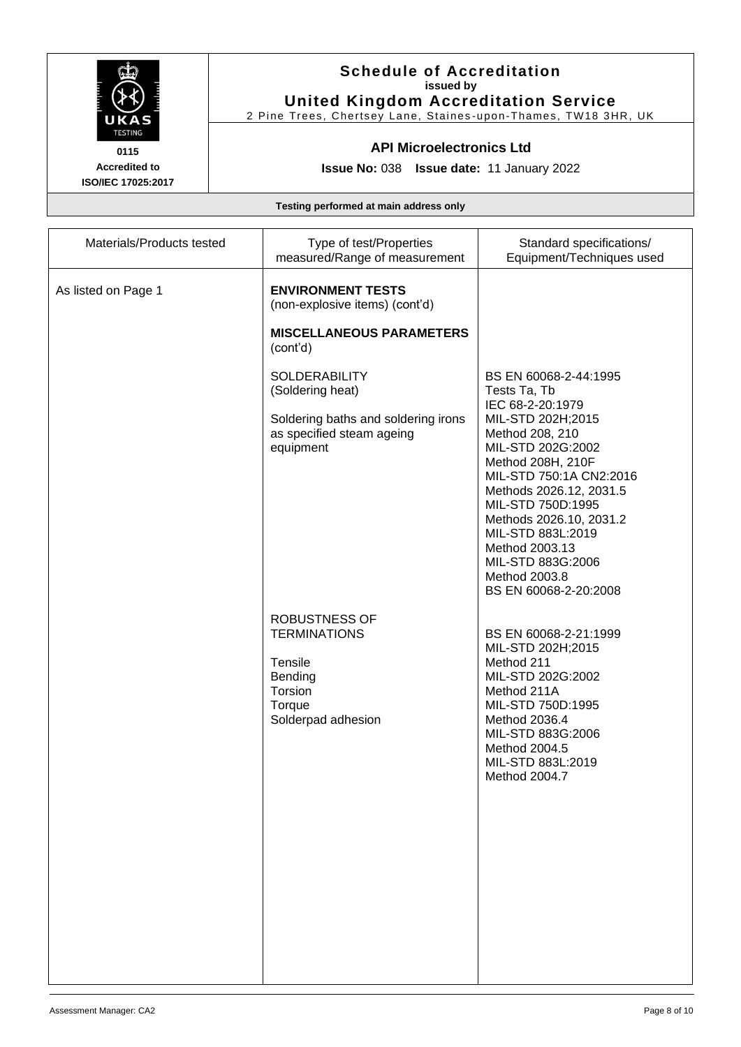

# **Schedule of Accreditation issued by United Kingdom Accreditation Service**

2 Pine Trees, Chertsey Lane, Staines -upon -Thames, TW18 3HR, UK

### **API Microelectronics Ltd**

**Issue No:** 038 **Issue date:** 11 January 2022

| Materials/Products tested | Type of test/Properties<br>measured/Range of measurement                                                                  | Standard specifications/<br>Equipment/Techniques used                                                                                                                                                                                                                                                                                                   |
|---------------------------|---------------------------------------------------------------------------------------------------------------------------|---------------------------------------------------------------------------------------------------------------------------------------------------------------------------------------------------------------------------------------------------------------------------------------------------------------------------------------------------------|
| As listed on Page 1       | <b>ENVIRONMENT TESTS</b><br>(non-explosive items) (cont'd)<br><b>MISCELLANEOUS PARAMETERS</b><br>(cont'd)                 |                                                                                                                                                                                                                                                                                                                                                         |
|                           | <b>SOLDERABILITY</b><br>(Soldering heat)<br>Soldering baths and soldering irons<br>as specified steam ageing<br>equipment | BS EN 60068-2-44:1995<br>Tests Ta, Tb<br>IEC 68-2-20:1979<br>MIL-STD 202H;2015<br>Method 208, 210<br>MIL-STD 202G:2002<br>Method 208H, 210F<br>MIL-STD 750:1A CN2:2016<br>Methods 2026.12, 2031.5<br>MIL-STD 750D:1995<br>Methods 2026.10, 2031.2<br>MIL-STD 883L:2019<br>Method 2003.13<br>MIL-STD 883G:2006<br>Method 2003.8<br>BS EN 60068-2-20:2008 |
|                           | <b>ROBUSTNESS OF</b><br><b>TERMINATIONS</b><br>Tensile<br>Bending<br>Torsion<br>Torque<br>Solderpad adhesion              | BS EN 60068-2-21:1999<br>MIL-STD 202H;2015<br>Method 211<br>MIL-STD 202G:2002<br>Method 211A<br>MIL-STD 750D:1995<br>Method 2036.4<br>MIL-STD 883G:2006<br>Method 2004.5<br>MIL-STD 883L:2019<br>Method 2004.7                                                                                                                                          |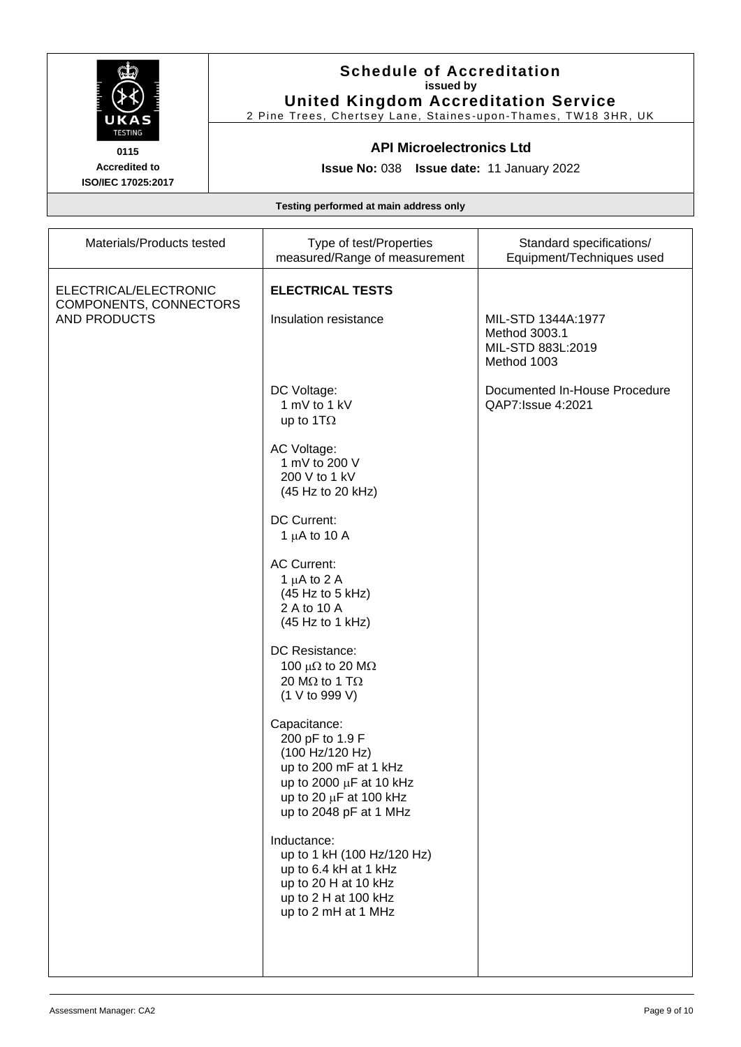

# **Schedule of Accreditation issued by United Kingdom Accreditation Service**

2 Pine Trees, Chertsey Lane, Staines -upon -Thames, TW18 3HR, UK

# **API Microelectronics Ltd**

**Issue No:** 038 **Issue date:** 11 January 2022

| Materials/Products tested                                       | Type of test/Properties<br>measured/Range of measurement                                                                                                        | Standard specifications/<br>Equipment/Techniques used                   |
|-----------------------------------------------------------------|-----------------------------------------------------------------------------------------------------------------------------------------------------------------|-------------------------------------------------------------------------|
| ELECTRICAL/ELECTRONIC<br>COMPONENTS, CONNECTORS<br>AND PRODUCTS | <b>ELECTRICAL TESTS</b><br>Insulation resistance                                                                                                                | MIL-STD 1344A:1977<br>Method 3003.1<br>MIL-STD 883L:2019<br>Method 1003 |
|                                                                 | DC Voltage:<br>1 mV to 1 kV<br>up to 1T $\Omega$                                                                                                                | Documented In-House Procedure<br>QAP7: Issue 4:2021                     |
|                                                                 | AC Voltage:<br>1 mV to 200 V<br>200 V to 1 kV<br>(45 Hz to 20 kHz)                                                                                              |                                                                         |
|                                                                 | DC Current:<br>1 $\mu$ A to 10 A                                                                                                                                |                                                                         |
|                                                                 | <b>AC Current:</b><br>1 $\mu$ A to 2 A<br>(45 Hz to 5 kHz)<br>2 A to 10 A<br>(45 Hz to 1 kHz)                                                                   |                                                                         |
|                                                                 | DC Resistance:<br>100 $\mu\Omega$ to 20 M $\Omega$<br>20 M $\Omega$ to 1 T $\Omega$<br>(1 V to 999 V)                                                           |                                                                         |
|                                                                 | Capacitance:<br>200 pF to 1.9 F<br>(100 Hz/120 Hz)<br>up to 200 mF at 1 kHz<br>up to 2000 µF at 10 kHz<br>up to 20 $\mu$ F at 100 kHz<br>up to 2048 pF at 1 MHz |                                                                         |
|                                                                 | Inductance:<br>up to 1 kH (100 Hz/120 Hz)<br>up to 6.4 kH at 1 kHz<br>up to 20 H at 10 kHz<br>up to 2 H at 100 kHz<br>up to 2 mH at 1 MHz                       |                                                                         |
|                                                                 |                                                                                                                                                                 |                                                                         |